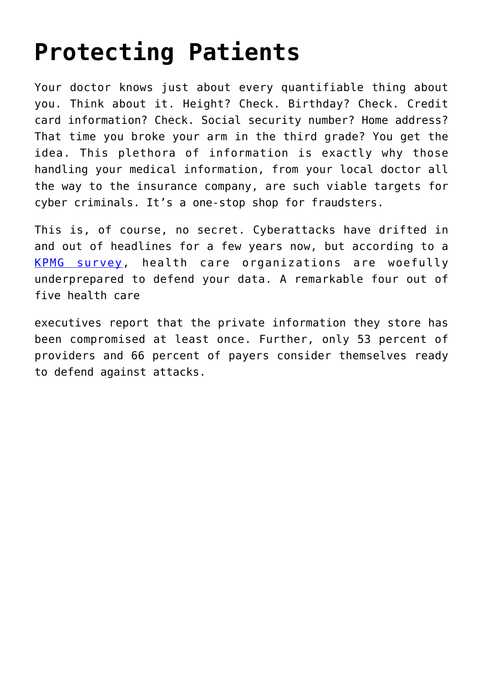## **[Protecting Patients](https://www.cns-inc.com/insights/thought-leadership/protecting-patients/)**

Your doctor knows just about every quantifiable thing about you. Think about it. Height? Check. Birthday? Check. Credit card information? Check. Social security number? Home address? That time you broke your arm in the third grade? You get the idea. This plethora of information is exactly why those handling your medical information, from your local doctor all the way to the insurance company, are such viable targets for cyber criminals. It's a one-stop shop for fraudsters.

This is, of course, no secret. Cyberattacks have drifted in and out of headlines for a few years now, but according to a [KPMG survey](https://www.cns-inc.com/wp-content/uploads/2015/09/advisory.kpmg_.us_content_dam_kpmg-advisory_PDFs_ManagementConsulting_2015_KPMG-2015-Cyber-Healthcare-Survey.pdf), health care organizations are woefully underprepared to defend your data. A remarkable four out of five health care

executives report that the private information they store has been compromised at least once. Further, only 53 percent of providers and 66 percent of payers consider themselves ready to defend against attacks.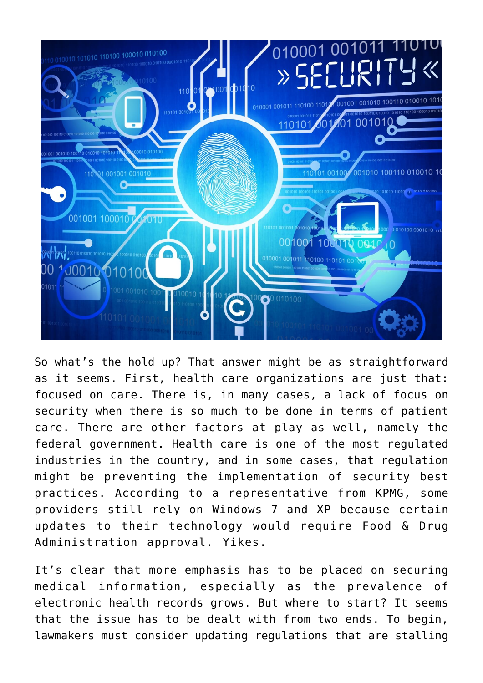

So what's the hold up? That answer might be as straightforward as it seems. First, health care organizations are just that: focused on care. There is, in many cases, a lack of focus on security when there is so much to be done in terms of patient care. There are other factors at play as well, namely the federal government. Health care is one of the most regulated industries in the country, and in some cases, that regulation might be preventing the implementation of security best practices. According to a representative from KPMG, some providers still rely on Windows 7 and XP because certain updates to their technology would require Food & Drug Administration approval. Yikes.

It's clear that more emphasis has to be placed on securing medical information, especially as the prevalence of electronic health records grows. But where to start? It seems that the issue has to be dealt with from two ends. To begin, lawmakers must consider updating regulations that are stalling